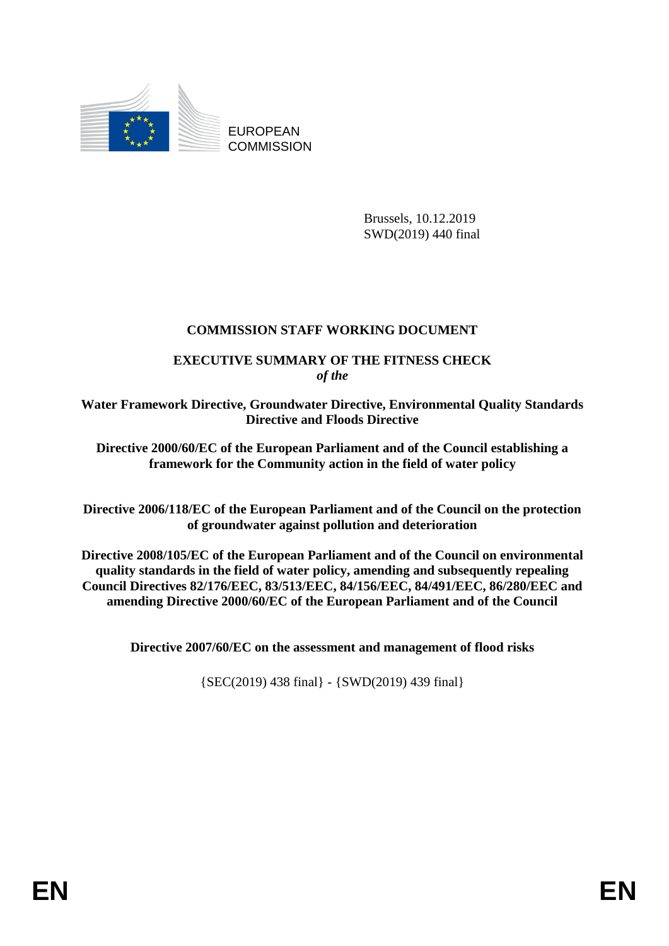

EUROPEAN **COMMISSION** 

> Brussels, 10.12.2019 SWD(2019) 440 final

# **COMMISSION STAFF WORKING DOCUMENT**

## **EXECUTIVE SUMMARY OF THE FITNESS CHECK** *of the*

**Water Framework Directive, Groundwater Directive, Environmental Quality Standards Directive and Floods Directive**

**Directive 2000/60/EC of the European Parliament and of the Council establishing a framework for the Community action in the field of water policy** 

**Directive 2006/118/EC of the European Parliament and of the Council on the protection of groundwater against pollution and deterioration** 

**Directive 2008/105/EC of the European Parliament and of the Council on environmental quality standards in the field of water policy, amending and subsequently repealing Council Directives 82/176/EEC, 83/513/EEC, 84/156/EEC, 84/491/EEC, 86/280/EEC and amending Directive 2000/60/EC of the European Parliament and of the Council** 

**Directive 2007/60/EC on the assessment and management of flood risks**

{SEC(2019) 438 final} - {SWD(2019) 439 final}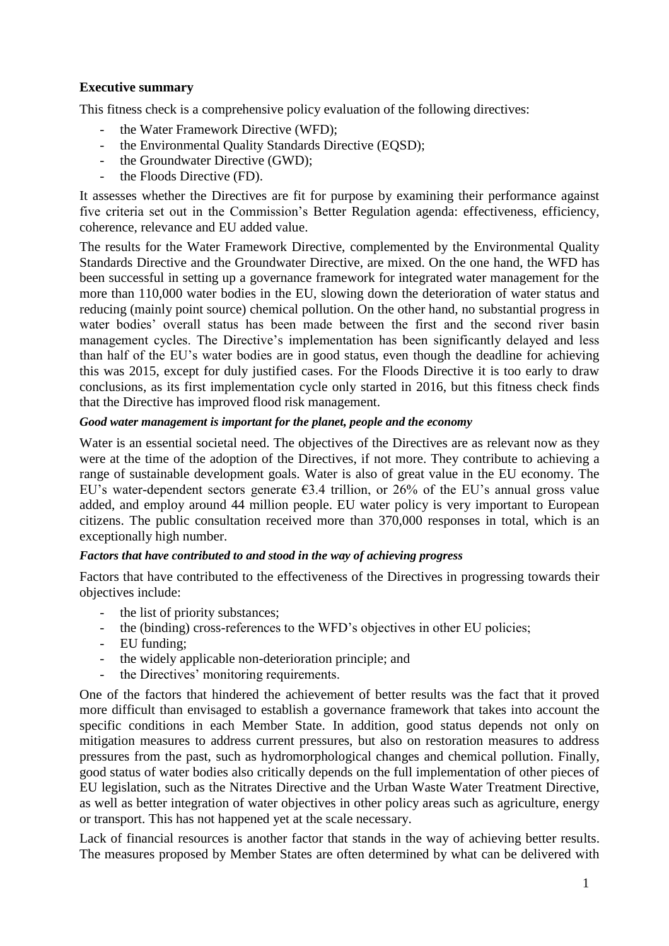### **Executive summary**

This fitness check is a comprehensive policy evaluation of the following directives:

- the Water Framework Directive (WFD);
- the Environmental Quality Standards Directive (EQSD);
- the Groundwater Directive (GWD);
- the Floods Directive (FD).

It assesses whether the Directives are fit for purpose by examining their performance against five criteria set out in the Commission's Better Regulation agenda: effectiveness, efficiency, coherence, relevance and EU added value.

The results for the Water Framework Directive, complemented by the Environmental Quality Standards Directive and the Groundwater Directive, are mixed. On the one hand, the WFD has been successful in setting up a governance framework for integrated water management for the more than 110,000 water bodies in the EU, slowing down the deterioration of water status and reducing (mainly point source) chemical pollution. On the other hand, no substantial progress in water bodies' overall status has been made between the first and the second river basin management cycles. The Directive's implementation has been significantly delayed and less than half of the EU's water bodies are in good status, even though the deadline for achieving this was 2015, except for duly justified cases. For the Floods Directive it is too early to draw conclusions, as its first implementation cycle only started in 2016, but this fitness check finds that the Directive has improved flood risk management.

### *Good water management is important for the planet, people and the economy*

Water is an essential societal need. The objectives of the Directives are as relevant now as they were at the time of the adoption of the Directives, if not more. They contribute to achieving a range of sustainable development goals. Water is also of great value in the EU economy. The EU's water-dependent sectors generate  $63.4$  trillion, or 26% of the EU's annual gross value added, and employ around 44 million people. EU water policy is very important to European citizens. The public consultation received more than 370,000 responses in total, which is an exceptionally high number.

### *Factors that have contributed to and stood in the way of achieving progress*

Factors that have contributed to the effectiveness of the Directives in progressing towards their objectives include:

- the list of priority substances;
- the (binding) cross-references to the WFD's objectives in other EU policies;
- EU funding;
- the widely applicable non-deterioration principle; and
- the Directives' monitoring requirements.

One of the factors that hindered the achievement of better results was the fact that it proved more difficult than envisaged to establish a governance framework that takes into account the specific conditions in each Member State. In addition, good status depends not only on mitigation measures to address current pressures, but also on restoration measures to address pressures from the past, such as hydromorphological changes and chemical pollution. Finally, good status of water bodies also critically depends on the full implementation of other pieces of EU legislation, such as the Nitrates Directive and the Urban Waste Water Treatment Directive, as well as better integration of water objectives in other policy areas such as agriculture, energy or transport. This has not happened yet at the scale necessary.

Lack of financial resources is another factor that stands in the way of achieving better results. The measures proposed by Member States are often determined by what can be delivered with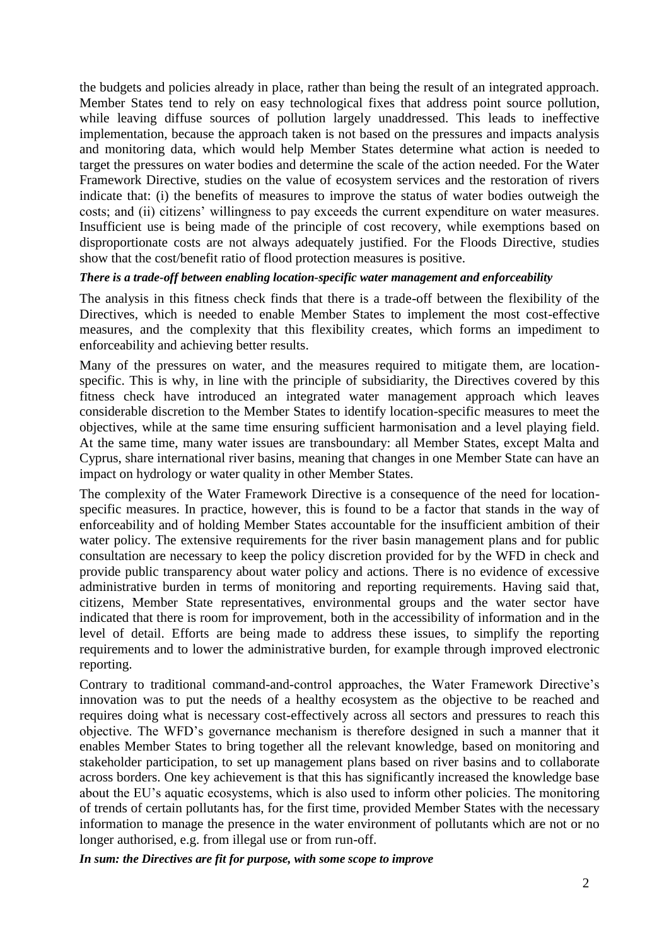the budgets and policies already in place, rather than being the result of an integrated approach. Member States tend to rely on easy technological fixes that address point source pollution, while leaving diffuse sources of pollution largely unaddressed. This leads to ineffective implementation, because the approach taken is not based on the pressures and impacts analysis and monitoring data, which would help Member States determine what action is needed to target the pressures on water bodies and determine the scale of the action needed. For the Water Framework Directive, studies on the value of ecosystem services and the restoration of rivers indicate that: (i) the benefits of measures to improve the status of water bodies outweigh the costs; and (ii) citizens' willingness to pay exceeds the current expenditure on water measures. Insufficient use is being made of the principle of cost recovery, while exemptions based on disproportionate costs are not always adequately justified. For the Floods Directive, studies show that the cost/benefit ratio of flood protection measures is positive.

#### *There is a trade-off between enabling location-specific water management and enforceability*

The analysis in this fitness check finds that there is a trade-off between the flexibility of the Directives, which is needed to enable Member States to implement the most cost-effective measures, and the complexity that this flexibility creates, which forms an impediment to enforceability and achieving better results.

Many of the pressures on water, and the measures required to mitigate them, are locationspecific. This is why, in line with the principle of subsidiarity, the Directives covered by this fitness check have introduced an integrated water management approach which leaves considerable discretion to the Member States to identify location-specific measures to meet the objectives, while at the same time ensuring sufficient harmonisation and a level playing field. At the same time, many water issues are transboundary: all Member States, except Malta and Cyprus, share international river basins, meaning that changes in one Member State can have an impact on hydrology or water quality in other Member States.

The complexity of the Water Framework Directive is a consequence of the need for locationspecific measures. In practice, however, this is found to be a factor that stands in the way of enforceability and of holding Member States accountable for the insufficient ambition of their water policy. The extensive requirements for the river basin management plans and for public consultation are necessary to keep the policy discretion provided for by the WFD in check and provide public transparency about water policy and actions. There is no evidence of excessive administrative burden in terms of monitoring and reporting requirements. Having said that, citizens, Member State representatives, environmental groups and the water sector have indicated that there is room for improvement, both in the accessibility of information and in the level of detail. Efforts are being made to address these issues, to simplify the reporting requirements and to lower the administrative burden, for example through improved electronic reporting.

Contrary to traditional command-and-control approaches, the Water Framework Directive's innovation was to put the needs of a healthy ecosystem as the objective to be reached and requires doing what is necessary cost-effectively across all sectors and pressures to reach this objective. The WFD's governance mechanism is therefore designed in such a manner that it enables Member States to bring together all the relevant knowledge, based on monitoring and stakeholder participation, to set up management plans based on river basins and to collaborate across borders. One key achievement is that this has significantly increased the knowledge base about the EU's aquatic ecosystems, which is also used to inform other policies. The monitoring of trends of certain pollutants has, for the first time, provided Member States with the necessary information to manage the presence in the water environment of pollutants which are not or no longer authorised, e.g. from illegal use or from run-off.

*In sum: the Directives are fit for purpose, with some scope to improve*